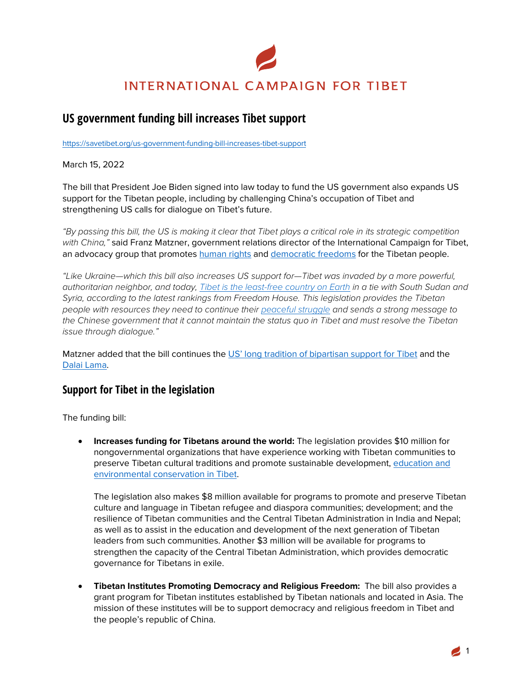# **INTERNATIONAL CAMPAIGN FOR TIBET**

## **US government funding bill increases Tibet support**

https://savetibet.org/us-government-funding-bill-increases-tibet-support

March 15, 2022

The bill that President Joe Biden signed into law today to fund the US government also expands US support for the Tibetan people, including by challenging China's occupation of Tibet and strengthening US calls for dialogue on Tibet's future.

*"By passing this bill, the US is making it clear that Tibet plays a critical role in its strategic competition with China,"* said Franz Matzner, government relations director of the International Campaign for Tibet, an advocacy group that promotes human rights and democratic freedoms for the Tibetan people.

*"Like Ukraine—which this bill also increases US support for—Tibet was invaded by a more powerful, authoritarian neighbor, and today, Tibet is the least-free country on Earth in a tie with South Sudan and Syria, according to the latest rankings from Freedom House. This legislation provides the Tibetan people with resources they need to continue their peaceful struggle and sends a strong message to the Chinese government that it cannot maintain the status quo in Tibet and must resolve the Tibetan issue through dialogue."*

Matzner added that the bill continues the US' long tradition of bipartisan support for Tibet and the Dalai Lama.

### **Support for Tibet in the legislation**

The funding bill:

• **Increases funding for Tibetans around the world:** The legislation provides \$10 million for nongovernmental organizations that have experience working with Tibetan communities to preserve Tibetan cultural traditions and promote sustainable development, education and environmental conservation in Tibet.

The legislation also makes \$8 million available for programs to promote and preserve Tibetan culture and language in Tibetan refugee and diaspora communities; development; and the resilience of Tibetan communities and the Central Tibetan Administration in India and Nepal; as well as to assist in the education and development of the next generation of Tibetan leaders from such communities. Another \$3 million will be available for programs to strengthen the capacity of the Central Tibetan Administration, which provides democratic governance for Tibetans in exile.

• **Tibetan Institutes Promoting Democracy and Religious Freedom:** The bill also provides a grant program for Tibetan institutes established by Tibetan nationals and located in Asia. The mission of these institutes will be to support democracy and religious freedom in Tibet and the people's republic of China.

1